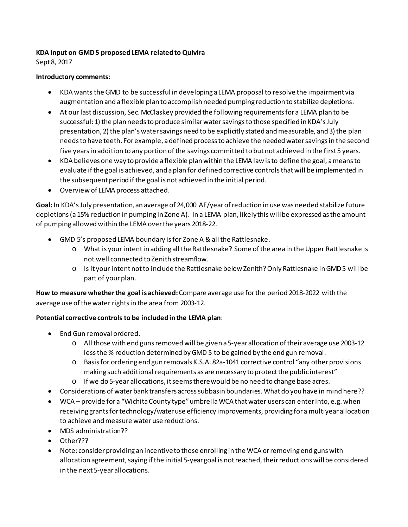## **KDA Input on GMD 5 proposed LEMA related to Quivira**

Sept 8, 2017

### **Introductory comments**:

- KDA wants the GMD to be successful in developing a LEMA proposal to resolve the impairment via augmentation and a flexible plan to accomplish needed pumping reduction to stabilize depletions.
- At our last discussion, Sec. McClaskey provided the following requirements for a LEMA plan to be successful: 1) the plan needs to produce similar water savings to those specified in KDA's July presentation, 2) the plan's water savings need to be explicitly stated and measurable, and 3) the plan needs to have teeth. For example, a defined process to achieve the needed water savingsin the second five years in addition to any portion of the savings committed to but not achieved in the first 5 years.
- KDA believes one way to provide a flexible plan within the LEMA law is to define the goal, a means to evaluate if the goal is achieved, and a plan for defined corrective controls that will be implemented in the subsequent period if the goal is not achieved in the initial period.
- Overview of LEMA process attached.

**Goal:**In KDA's July presentation, an average of 24,000 AF/year of reduction in use was needed stabilize future depletions (a15% reduction in pumping in Zone A). In a LEMA plan, likely this will be expressed as the amount of pumping allowed within the LEMA over the years 2018-22.

- GMD 5's proposed LEMA boundary is for Zone A & all the Rattlesnake.
	- o What is your intent in adding all the Rattlesnake? Some of the area in the Upper Rattlesnake is not well connected to Zenith streamflow.
	- o Is it your intent not to include the Rattlesnake below Zenith?Only Rattlesnake in GMD 5 will be part of your plan.

**How to measure whether the goal is achieved:**Compare average use for the period 2018-2022 with the average use of the water rights in the area from 2003-12.

# **Potential corrective controls to be included in the LEMA plan**:

- End Gun removal ordered.
	- o All those with end guns removed will be given a 5-year allocation of their average use 2003-12 less the % reduction determined by GMD 5 to be gained by the end gun removal.
	- o Basis for ordering end gun removals K.S.A. 82a-1041 corrective control "any other provisions making such additional requirements as are necessary to protect the public interest"
	- o If we do 5-year allocations, it seems there would be no need to change base acres.
- Considerations of water bank transfers across subbasin boundaries. What do you have in mind here??
- WCA provide for a "Wichita County type" umbrella WCA that water users can enter into, e.g. when receiving grants for technology/water use efficiency improvements, providing for a multiyear allocation to achieve and measure water use reductions.
- MDS administration??
- Other???
- Note: consider providing an incentive to those enrolling in the WCA or removing end guns with allocation agreement, saying if the initial 5-year goal is not reached, their reductions will be considered in the next 5-year allocations.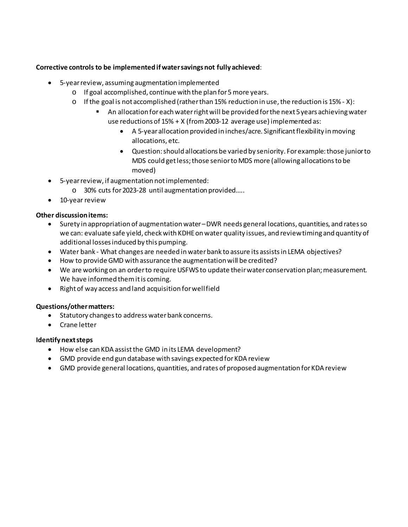## **Corrective controls to be implemented if water savings not fully achieved**:

- 5-year review, assuming augmentation implemented
	- o If goal accomplished, continue with the plan for 5 more years.
	- $\circ$  If the goal is not accomplished (rather than 15% reduction in use, the reduction is 15% X):
		- An allocation for each water right will be provided for the next 5 years achieving water use reductions of 15% + X (from 2003-12 average use) implemented as:
			- A 5-year allocation provided in inches/acre. Significant flexibility in moving allocations, etc.
			- Question: should allocations be varied by seniority. For example: those junior to MDS could get less; those senior to MDS more (allowing allocations to be moved)
- 5-year review, if augmentation not implemented:
	- o 30% cuts for 2023-28 until augmentation provided…..
- 10-year review

### **Other discussion items:**

- Surety in appropriation of augmentation water–DWR needs general locations, quantities, and ratesso we can: evaluate safe yield, check with KDHE on water quality issues, and review timing and quantity of additional losses induced by this pumping.
- Water bank What changes are needed in water bank to assure its assists in LEMA objectives?
- How to provide GMD with assurance the augmentation will be credited?
- We are working on an order to require USFWS to update their water conservation plan; measurement. We have informed them it is coming.
- Right of way access and land acquisition for well field

### **Questions/other matters:**

- Statutory changes to address water bank concerns.
- Crane letter

### **Identify next steps**

- How else can KDA assist the GMD in its LEMA development?
- GMD provide end gun database with savings expected for KDA review
- GMD provide general locations, quantities, and rates of proposed augmentation for KDA review